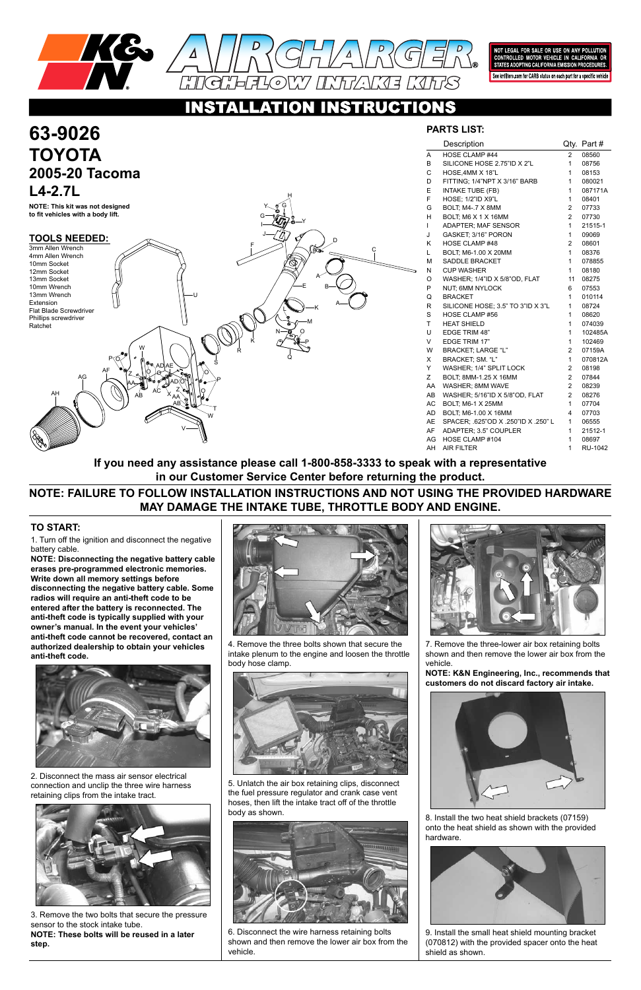

NOT LEGAL FOR SALE OR USE ON ANY POLLUTION<br>CONTROLLED MOTOR VEHICLE IN CALIFORNIA OR<br>STATES ADOPTING CALIFORNIA EMISSION PROCEDURES.

See knfilters.com for CARB status on each part for a specific vehicle

### **INSTRUCTIO** ATIO

1. Turn off the ignition and disconnect the negative battery cable.

**NOTE: Disconnecting the negative battery cable erases pre-programmed electronic memories. Write down all memory settings before disconnecting the negative battery cable. Some radios will require an anti-theft code to be entered after the battery is reconnected. The anti-theft code is typically supplied with your owner's manual. In the event your vehicles' anti-theft code cannot be recovered, contact an authorized dealership to obtain your vehicles anti-theft code.**



### **TO START:**

## **PARTS LIST:**

|    | Description                        | Qty.           | Part#          |
|----|------------------------------------|----------------|----------------|
| A  | HOSE CLAMP #44                     | $\overline{2}$ | 08560          |
| B  | SILICONE HOSE 2.75"ID X 2"L        | 1              | 08756          |
| C  | HOSE.4MM X 18"L                    | 1              | 08153          |
| D  | FITTING; 1/4"NPT X 3/16" BARB      | $\mathbf{1}$   | 080021         |
| E  | INTAKE TUBE (FB)                   | 1              | 087171A        |
| F  | <b>HOSE: 1/2"ID X9"L</b>           | 1              | 08401          |
| G  | BOLT, M4-.7 X 8MM                  | 2              | 07733          |
| н  | BOLT; M6 X 1 X 16MM                | $\overline{2}$ | 07730          |
| L  | <b>ADAPTER: MAF SENSOR</b>         | $\mathbf{1}$   | 21515-1        |
| J  | GASKET, 3/16" PORON                | 1              | 09069          |
| Κ  | HOSE CLAMP #48                     | $\overline{2}$ | 08601          |
| Г  | BOLT, M6-1.00 X 20MM               | $\mathbf{1}$   | 08376          |
| M  | <b>SADDLE BRACKET</b>              | $\mathbf{1}$   | 078855         |
| N  | <b>CUP WASHER</b>                  | 1              | 08180          |
| O  | WASHER; 1/4"ID X 5/8"OD, FLAT      | 11             | 08275          |
| P  | NUT; 6MM NYLOCK                    | 6              | 07553          |
| Q  | <b>BRACKET</b>                     | 1              | 010114         |
| R  | SILICONE HOSE; 3.5" TO 3"ID X 3"L  | $\mathbf{1}$   | 08724          |
| S  | HOSE CLAMP #56                     | 1              | 08620          |
| T  | <b>HEAT SHIELD</b>                 | $\mathbf{1}$   | 074039         |
| U  | <b>EDGE TRIM 48"</b>               | $\mathbf{1}$   | 102485A        |
| V  | <b>EDGE TRIM 17"</b>               | $\mathbf{1}$   | 102469         |
| W  | <b>BRACKET: LARGE "L"</b>          | 2              | 07159A         |
| X  | BRACKET, SM. "L"                   | $\mathbf{1}$   | 070812A        |
| Y  | WASHER; 1/4" SPLIT LOCK            | $\overline{2}$ | 08198          |
| Ζ  | BOLT; 8MM-1.25 X 16MM              | $\overline{c}$ | 07844          |
| AA | WASHER; 8MM WAVE                   | 2              | 08239          |
| AB | WASHER; 5/16"ID X 5/8"OD, FLAT     | 2              | 08276          |
| AC | <b>BOLT; M6-1 X 25MM</b>           | $\mathbf{1}$   | 07704          |
| AD | BOLT, M6-1.00 X 16MM               | 4              | 07703          |
| AE | SPACER; 625"OD X .250"ID X .250" L | 1              | 06555          |
| AF | ADAPTER; 3.5" COUPLER              | $\mathbf{1}$   | 21512-1        |
| AG | HOSE CLAMP #104                    | $\mathbf{1}$   | 08697          |
| AH | <b>AIR FILTER</b>                  | 1              | <b>RU-1042</b> |

| 63-9026                                                                                                                                                                                                                                                                                                                                                             | <b>PA</b>                                                                                                                                                              |
|---------------------------------------------------------------------------------------------------------------------------------------------------------------------------------------------------------------------------------------------------------------------------------------------------------------------------------------------------------------------|------------------------------------------------------------------------------------------------------------------------------------------------------------------------|
| <b>TOYOTA</b>                                                                                                                                                                                                                                                                                                                                                       | Α                                                                                                                                                                      |
| 2005-20 Tacoma                                                                                                                                                                                                                                                                                                                                                      | B<br>C<br>D                                                                                                                                                            |
| $L4-2.7L$                                                                                                                                                                                                                                                                                                                                                           | Е<br>F                                                                                                                                                                 |
| NOTE: This kit was not designed<br>G<br>to fit vehicles with a body lift.                                                                                                                                                                                                                                                                                           | G<br>H                                                                                                                                                                 |
| <b>TOOLS NEEDED:</b><br>D<br>⊏<br>3mm Allen Wrench<br>06<br>С<br>4mm Allen Wrench<br>10mm Socket<br>12mm Socket<br>A<br>13mm Socket<br>£.<br>B<br>10mm Wrench<br>13mm Wrench<br>U<br>Extension<br>-K<br>Flat Blade Screwdriver<br>Phillips screwdriver<br>-M<br>Ratchet<br>w<br>Ŕ<br>Q<br><b>\D\AE</b><br>AF<br>AG<br>.@ @-<br>АC<br>AH<br>AΒ<br>AA<br>AB<br>Î<br>W | . J<br>Κ<br>M<br>${\sf N}$<br>O<br>P<br>Q<br>$\mathsf{R}$<br>$\mathbf S$<br>T.<br>U<br>$\vee$<br>W<br>X<br>Υ<br>Z<br>AA<br>AB<br>$\mathsf{AC}$<br>AD<br>AE<br>AF<br>AG |
|                                                                                                                                                                                                                                                                                                                                                                     | AH                                                                                                                                                                     |

2. Disconnect the mass air sensor electrical connection and unclip the three wire harness retaining clips from the intake tract.



3. Remove the two bolts that secure the pressure sensor to the stock intake tube. **NOTE: These bolts will be reused in a later step.**



4. Remove the three bolts shown that secure the intake plenum to the engine and loosen the throttle body hose clamp.



5. Unlatch the air box retaining clips, disconnect the fuel pressure regulator and crank case vent hoses, then lift the intake tract off of the throttle body as shown.



6. Disconnect the wire harness retaining bolts shown and then remove the lower air box from the vehicle.



7. Remove the three-lower air box retaining bolts shown and then remove the lower air box from the vehicle.

**NOTE: K&N Engineering, Inc., recommends that customers do not discard factory air intake.**



8. Install the two heat shield brackets (07159) onto the heat shield as shown with the provided hardware.



9. Install the small heat shield mounting bracket (070812) with the provided spacer onto the heat shield as shown.

## **NOTE: FAILURE TO FOLLOW INSTALLATION INSTRUCTIONS AND NOT USING THE PROVIDED HARDWARE MAY DAMAGE THE INTAKE TUBE, THROTTLE BODY AND ENGINE.**

**If you need any assistance please call 1-800-858-3333 to speak with a representative in our Customer Service Center before returning the product.**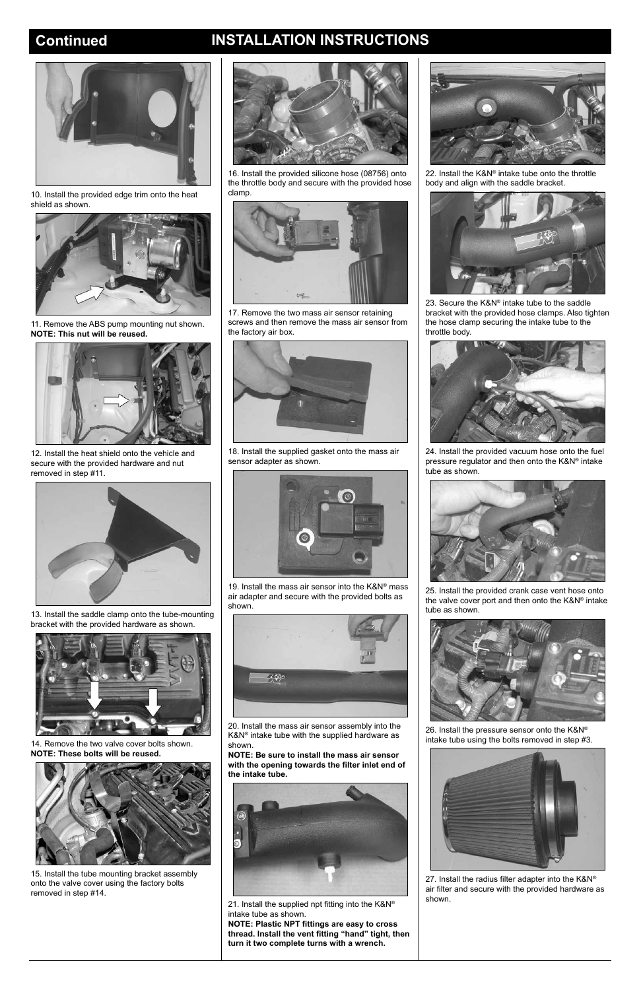# **Continued INSTALLATION INSTRUCTIONS**



10. Install the provided edge trim onto the heat shield as shown.



11. Remove the ABS pump mounting nut shown. **NOTE: This nut will be reused.**



12. Install the heat shield onto the vehicle and secure with the provided hardware and nut removed in step #11.



13. Install the saddle clamp onto the tube-mounting bracket with the provided hardware as shown.





14. Remove the two valve cover bolts shown. **NOTE: These bolts will be reused.**



15. Install the tube mounting bracket assembly onto the valve cover using the factory bolts removed in step #14.

16. Install the provided silicone hose (08756) onto the throttle body and secure with the provided hose clamp.



21. Install the supplied npt fitting into the K&N® intake tube as shown.

17. Remove the two mass air sensor retaining screws and then remove the mass air sensor from the factory air box.



18. Install the supplied gasket onto the mass air sensor adapter as shown.



19. Install the mass air sensor into the K&N® mass air adapter and secure with the provided bolts as shown.



20. Install the mass air sensor assembly into the

K&N® intake tube with the supplied hardware as shown.

**NOTE: Be sure to install the mass air sensor with the opening towards the filter inlet end of the intake tube.**



**NOTE: Plastic NPT fittings are easy to cross thread. Install the vent fitting "hand" tight, then turn it two complete turns with a wrench.**



22. Install the K&N® intake tube onto the throttle body and align with the saddle bracket.



23. Secure the K&N® intake tube to the saddle bracket with the provided hose clamps. Also tighten the hose clamp securing the intake tube to the throttle body.



24. Install the provided vacuum hose onto the fuel pressure regulator and then onto the K&N® intake tube as shown.



25. Install the provided crank case vent hose onto the valve cover port and then onto the K&N® intake tube as shown.



26. Install the pressure sensor onto the K&N® intake tube using the bolts removed in step #3.



27. Install the radius filter adapter into the K&N® air filter and secure with the provided hardware as shown.